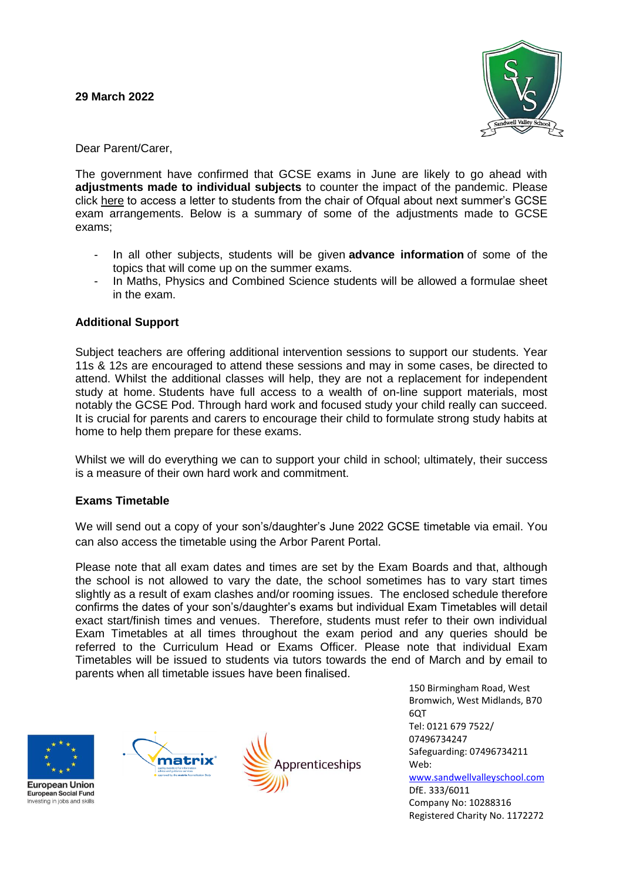

Dear Parent/Carer,

The government have confirmed that GCSE exams in June are likely to go ahead with **adjustments made to individual subjects** to counter the impact of the pandemic. Please click [here](https://www.gov.uk/government/publications/open-letters-arrangements-for-gcses-as-and-a-levels-in-2022/letter-to-students) to access a letter to students from the chair of Ofqual about next summer's GCSE exam arrangements. Below is a summary of some of the adjustments made to GCSE exams;

- In all other subjects, students will be given **[advance information](https://theradclyffeschool.co.uk/gcse-exams-2022-advance-information/)** of some of the topics that will come up on the summer exams.
- In Maths, Physics and Combined Science students will be allowed a formulae sheet in the exam.

## **Additional Support**

Subject teachers are offering additional intervention sessions to support our students. Year 11s & 12s are encouraged to attend these sessions and may in some cases, be directed to attend. Whilst the additional classes will help, they are not a replacement for independent study at home. Students have full access to a wealth of on-line support materials, most notably the GCSE Pod. Through hard work and focused study your child really can succeed. It is crucial for parents and carers to encourage their child to formulate strong study habits at home to help them prepare for these exams.

Whilst we will do everything we can to support your child in school; ultimately, their success is a measure of their own hard work and commitment.

## **Exams Timetable**

We will send out a copy of your son's/daughter's June 2022 GCSE timetable via email. You can also access the timetable using the Arbor Parent Portal.

Please note that all exam dates and times are set by the Exam Boards and that, although the school is not allowed to vary the date, the school sometimes has to vary start times slightly as a result of exam clashes and/or rooming issues. The enclosed schedule therefore confirms the dates of your son's/daughter's exams but individual Exam Timetables will detail exact start/finish times and venues. Therefore, students must refer to their own individual Exam Timetables at all times throughout the exam period and any queries should be referred to the Curriculum Head or Exams Officer. Please note that individual Exam Timetables will be issued to students via tutors towards the end of March and by email to parents when all timetable issues have been finalised.







150 Birmingham Road, West Bromwich, West Midlands, B70 6QT Tel: 0121 679 7522/ 07496734247 Safeguarding: 07496734211 Web: www.sandwellvalleyschool.com DfE. 333/6011 Company No: 10288316 Registered Charity No. 1172272